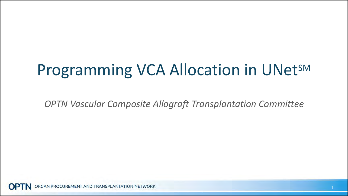## Programming VCA Allocation in UNetSM

*OPTN Vascular Composite Allograft Transplantation Committee*

GAN PROCUREMENT AND TRANSPLANTATION NETWORK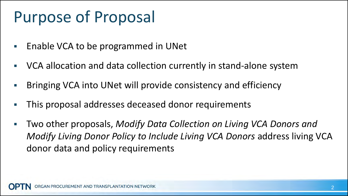## Purpose of Proposal

- Enable VCA to be programmed in UNet
- VCA allocation and data collection currently in stand-alone system
- Bringing VCA into UNet will provide consistency and efficiency
- This proposal addresses deceased donor requirements
- Two other proposals, *Modify Data Collection on Living VCA Donors and Modify Living Donor Policy to Include Living VCA Donors* address living VCA donor data and policy requirements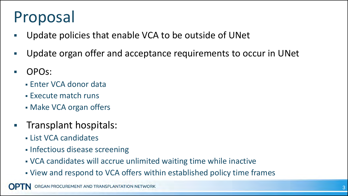# Proposal

- Update policies that enable VCA to be outside of UNet
- Update organ offer and acceptance requirements to occur in UNet
- OPOs:
	- Enter VCA donor data
	- Execute match runs
	- Make VCA organ offers
- Transplant hospitals:
	- List VCA candidates
	- **Infectious disease screening**
	- VCA candidates will accrue unlimited waiting time while inactive
	- View and respond to VCA offers within established policy time frames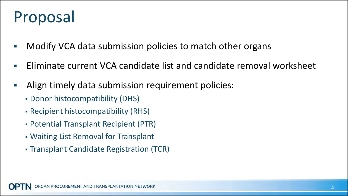## Proposal

- Modify VCA data submission policies to match other organs
- Eliminate current VCA candidate list and candidate removal worksheet
- Align timely data submission requirement policies:
	- Donor histocompatibility (DHS)
	- Recipient histocompatibility (RHS)
	- Potential Transplant Recipient (PTR)
	- Waiting List Removal for Transplant
	- Transplant Candidate Registration (TCR)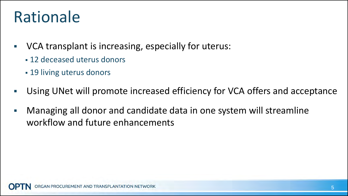## Rationale

- VCA transplant is increasing, especially for uterus:
	- 12 deceased uterus donors
	- 19 living uterus donors
- Using UNet will promote increased efficiency for VCA offers and acceptance
- Managing all donor and candidate data in one system will streamline workflow and future enhancements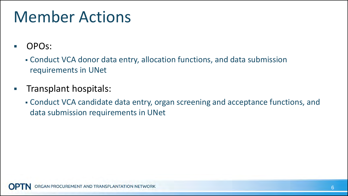## Member Actions

- OPOs:
	- Conduct VCA donor data entry, allocation functions, and data submission requirements in UNet
- **Transplant hospitals:** 
	- Conduct VCA candidate data entry, organ screening and acceptance functions, and data submission requirements in UNet